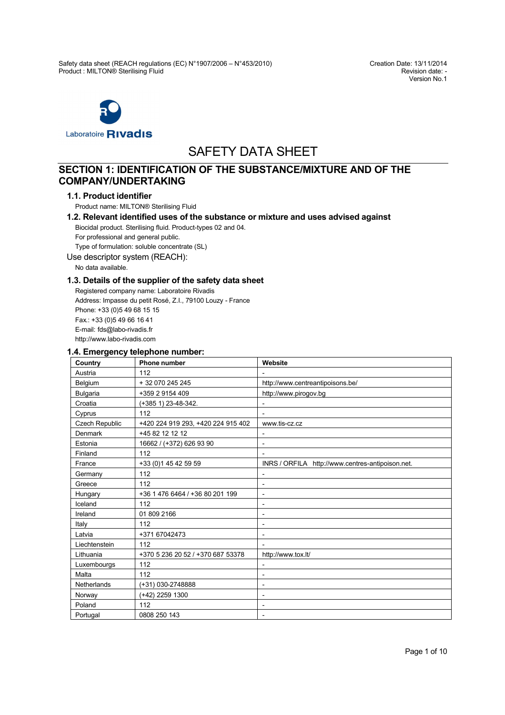Version No.1



# SAFETY DATA SHEET

# **SECTION 1: IDENTIFICATION OF THE SUBSTANCE/MIXTURE AND OF THE COMPANY/UNDERTAKING**

### **1.1. Product identifier**

Product name: MILTON® Sterilising Fluid

# **1.2. Relevant identified uses of the substance or mixture and uses advised against** Biocidal product. Sterilising fluid. Product-types 02 and 04.

For professional and general public.

Type of formulation: soluble concentrate (SL)

Use descriptor system (REACH):

No data available.

# **1.3. Details of the supplier of the safety data sheet**

Registered company name: Laboratoire Rivadis Address: Impasse du petit Rosé, Z.I., 79100 Louzy - France Phone: +33 (0)5 49 68 15 15 Fax.: +33 (0)5 49 66 16 41 E-mail: fds@labo-rivadis.fr [http://www.labo-](http://www.labo)rivadis.com

# **1.4. Emergency telephone number:**

| Country         | <b>Phone number</b>                | Website                                          |
|-----------------|------------------------------------|--------------------------------------------------|
| Austria         | 112                                |                                                  |
| Belgium         | + 32 070 245 245                   | http://www.centreantipoisons.be/                 |
| <b>Bulgaria</b> | +359 2 9154 409                    | http://www.pirogov.bg                            |
| Croatia         | (+385 1) 23-48-342.                |                                                  |
| Cyprus          | 112                                | $\overline{\phantom{a}}$                         |
| Czech Republic  | +420 224 919 293, +420 224 915 402 | www.tis-cz.cz                                    |
| <b>Denmark</b>  | +45 82 12 12 12                    | $\overline{\phantom{a}}$                         |
| Estonia         | 16662 / (+372) 626 93 90           | $\overline{\phantom{a}}$                         |
| Finland         | 112                                |                                                  |
| France          | +33 (0)1 45 42 59 59               | INRS / ORFILA http://www.centres-antipoison.net. |
| Germany         | 112                                |                                                  |
| Greece          | 112                                | $\overline{\phantom{a}}$                         |
| Hungary         | +36 1 476 6464 / +36 80 201 199    | $\overline{\phantom{a}}$                         |
| Iceland         | 112                                | $\overline{\phantom{a}}$                         |
| Ireland         | 01 809 2166                        | $\overline{\phantom{a}}$                         |
| Italy           | 112                                | $\overline{\phantom{a}}$                         |
| Latvia          | +371 67042473                      | $\overline{\phantom{a}}$                         |
| Liechtenstein   | 112                                |                                                  |
| Lithuania       | +370 5 236 20 52 / +370 687 53378  | http://www.tox.lt/                               |
| Luxembourgs     | 112                                | $\overline{\phantom{a}}$                         |
| Malta           | 112                                |                                                  |
| Netherlands     | (+31) 030-2748888                  | $\overline{\phantom{a}}$                         |
| Norway          | (+42) 2259 1300                    | $\overline{\phantom{a}}$                         |
| Poland          | 112                                | $\overline{\phantom{a}}$                         |
| Portugal        | 0808 250 143                       |                                                  |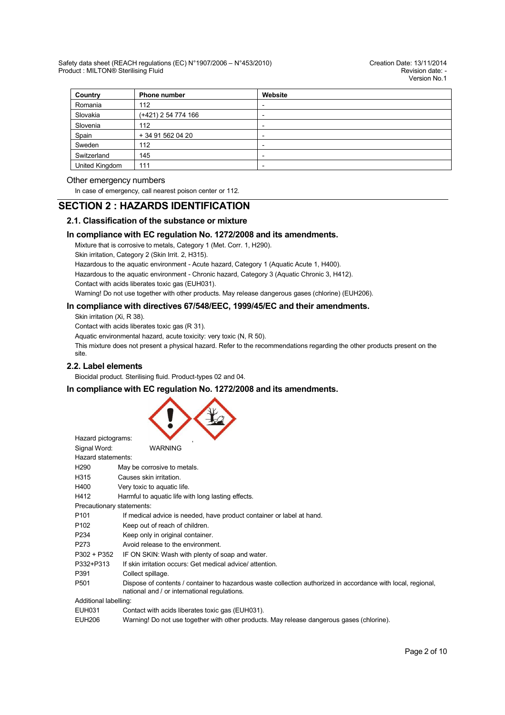| Country        | <b>Phone number</b> | Website |  |  |  |
|----------------|---------------------|---------|--|--|--|
| Romania        | 112                 |         |  |  |  |
| Slovakia       | (+421) 2 54 774 166 |         |  |  |  |
| Slovenia       | 112                 | -       |  |  |  |
| Spain          | + 34 91 562 04 20   |         |  |  |  |
| Sweden         | 112                 | -       |  |  |  |
| Switzerland    | 145                 |         |  |  |  |
| United Kingdom | 111                 |         |  |  |  |

### Other emergency numbers

In case of emergency, call nearest poison center or 112.

# **SECTION 2 : HAZARDS IDENTIFICATION**

# **2.1. Classification of the substance or mixture**

# **In compliance with EC regulation No. 1272/2008 and its amendments.**

Mixture that is corrosive to metals, Category 1 (Met. Corr. 1, H290).

Skin irritation, Category 2 (Skin Irrit. 2, H315).

Hazardous to the aquatic environment - Acute hazard, Category 1 (Aquatic Acute 1, H400).

Hazardous to the aquatic environment - Chronic hazard, Category 3 (Aquatic Chronic 3, H412).

Contact with acids liberates toxic gas (EUH031).

Warning! Do not use together with other products. May release dangerous gases (chlorine) (EUH206).

### **In compliance with directives 67/548/EEC, 1999/45/EC and their amendments.**

Skin irritation (Xi, R 38).

Contact with acids liberates toxic gas (R 31).

Aquatic environmental hazard, acute toxicity: very toxic (N, R 50).

This mixture does not present a physical hazard. Refer to the recommendations regarding the other products present on the site.

### **2.2. Label elements**

Biocidal product. Sterilising fluid. Product-types 02 and 04.

# **In compliance with EC regulation No. 1272/2008 and its amendments.**



| Hazard pictograms:        |                                                                                                                                                              |
|---------------------------|--------------------------------------------------------------------------------------------------------------------------------------------------------------|
| Signal Word:              | <b>WARNING</b>                                                                                                                                               |
| Hazard statements:        |                                                                                                                                                              |
| H <sub>290</sub>          | May be corrosive to metals.                                                                                                                                  |
| H315                      | Causes skin irritation.                                                                                                                                      |
| H400                      | Very toxic to aquatic life.                                                                                                                                  |
| H412                      | Harmful to aquatic life with long lasting effects.                                                                                                           |
| Precautionary statements: |                                                                                                                                                              |
| P <sub>101</sub>          | If medical advice is needed, have product container or label at hand.                                                                                        |
| P <sub>102</sub>          | Keep out of reach of children.                                                                                                                               |
| P <sub>2</sub> 34         | Keep only in original container.                                                                                                                             |
| P273                      | Avoid release to the environment.                                                                                                                            |
| P302 + P352               | IF ON SKIN: Wash with plenty of soap and water.                                                                                                              |
| P332+P313                 | If skin irritation occurs: Get medical advice/attention.                                                                                                     |
| P391                      | Collect spillage.                                                                                                                                            |
| P <sub>501</sub>          | Dispose of contents / container to hazardous waste collection authorized in accordance with local, regional,<br>national and / or international regulations. |
| Additional labelling:     |                                                                                                                                                              |
| EUH031                    | Contact with acids liberates toxic gas (EUH031).                                                                                                             |
| <b>EUH206</b>             | Warning! Do not use together with other products. May release dangerous gases (chlorine).                                                                    |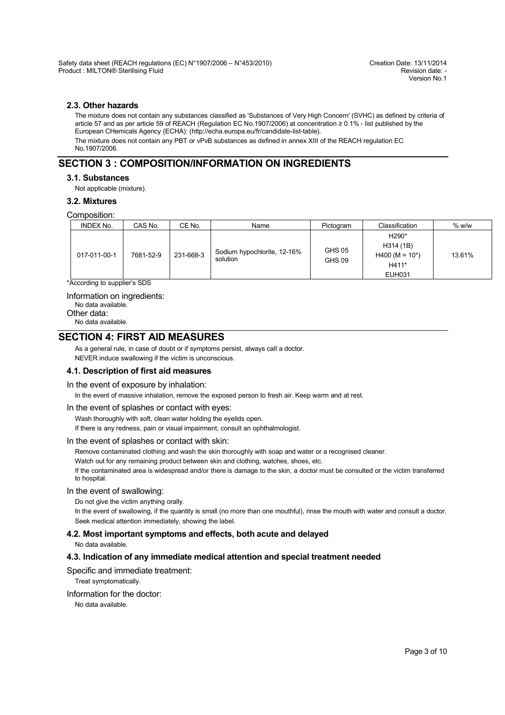# **2.3. Other hazards**

The mixture does not contain any substances classified as 'Substances of Very High Concern' (SVHC) as defined by criteria of article 57 and as per article 59 of REACH (Regulation EC No.1907/2006) at concentration ≥ 0.1% - list published by the European CHemicals Agency (ECHA): ([http://echa.europa.eu/fr/candidate-](http://echa.europa.eu/fr/candidate)list-table). The mixture does not contain any PBT or vPvB substances as defined in annex XIII of the REACH regulation EC No.1907/2006.

# **SECTION 3 : COMPOSITION/INFORMATION ON INGREDIENTS**

**3.1. Substances**

Not applicable (mixture).

### **3.2. Mixtures**

Composition:

| <b>INDEX No.</b> | CAS No.   | CE No.    | Name                                    | Pictogram               | Classification                                                                | $%$ w/w |
|------------------|-----------|-----------|-----------------------------------------|-------------------------|-------------------------------------------------------------------------------|---------|
| 017-011-00-1     | 7681-52-9 | 231-668-3 | Sodium hypochlorite, 12-16%<br>solution | <b>GHS 05</b><br>GHS 09 | H <sub>290</sub> *<br>H314 (1B)<br>$H400 (M = 10*)$<br>H411*<br><b>EUH031</b> | 13.61%  |

\*According to supplier's SDS

### Information on ingredients:

No data available.

Other data:

# No data available.

# **SECTION 4: FIRST AID MEASURES**

As a general rule, in case of doubt or if symptoms persist, always call a doctor. NEVER induce swallowing if the victim is unconscious.

### **4.1. Description of first aid measures**

### In the event of exposure by inhalation:

In the event of massive inhalation, remove the exposed person to fresh air. Keep warm and at rest.

### In the event of splashes or contact with eyes:

Wash thoroughly with soft, clean water holding the eyelids open.

If there is any redness, pain or visual impairment, consult an ophthalmologist.

### In the event of splashes or contact with skin:

Remove contaminated clothing and wash the skin thoroughly with soap and water or a recognised cleaner.

Watch out for any remaining product between skin and clothing, watches, shoes, etc.

If the contaminated area is widespread and/or there is damage to the skin, a doctor must be consulted or the victim transferred to hospital.

### In the event of swallowing:

Do not give the victim anything orally.

In the event of swallowing, if the quantity is small (no more than one mouthful), rinse the mouth with water and consult a doctor. Seek medical attention immediately, showing the label.

### **4.2. Most important symptoms and effects, both acute and delayed**

No data available.

# **4.3. Indication of any immediate medical attention and special treatment needed**

# Specific and immediate treatment:

Treat symptomatically.

### Information for the doctor: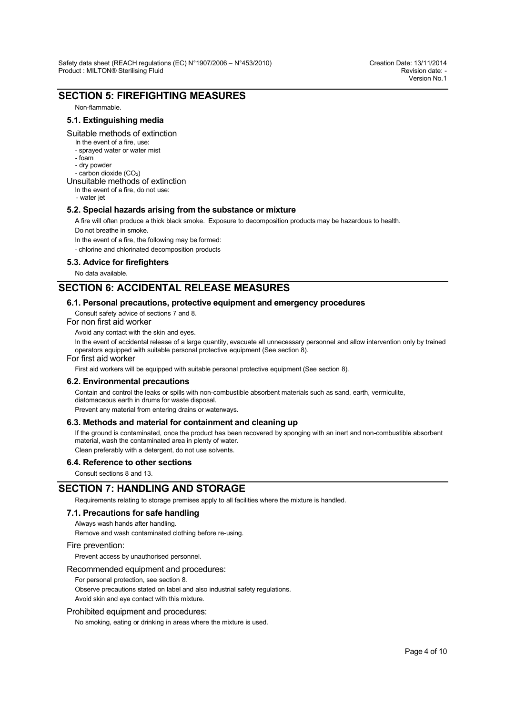# **SECTION 5: FIREFIGHTING MEASURES**

Non-flammable.

# **5.1. Extinguishing media**

#### Suitable methods of extinction

- In the event of a fire, use:
- sprayed water or water mist
- foam
- dry powder
- carbon dioxide  $(CO<sub>2</sub>)$

# Unsuitable methods of extinction

- In the event of a fire, do not use:
- water jet

### **5.2. Special hazards arising from the substance or mixture**

A fire will often produce a thick black smoke. Exposure to decomposition products may be hazardous to health. Do not breathe in smoke.

In the event of a fire, the following may be formed:

- chlorine and chlorinated decomposition products

### **5.3. Advice for firefighters**

No data available.

# **SECTION 6: ACCIDENTAL RELEASE MEASURES**

### **6.1. Personal precautions, protective equipment and emergency procedures**

Consult safety advice of sections 7 and 8.

For non first aid worker

Avoid any contact with the skin and eyes.

In the event of accidental release of a large quantity, evacuate all unnecessary personnel and allow intervention only by trained operators equipped with suitable personal protective equipment (See section 8).

### For first aid worker

First aid workers will be equipped with suitable personal protective equipment (See section 8).

### **6.2. Environmental precautions**

Contain and control the leaks or spills with non-combustible absorbent materials such as sand, earth, vermiculite, diatomaceous earth in drums for waste disposal.

Prevent any material from entering drains or waterways.

### **6.3. Methods and material for containment and cleaning up**

If the ground is contaminated, once the product has been recovered by sponging with an inert and non-combustible absorbent material, wash the contaminated area in plenty of water.

Clean preferably with a detergent, do not use solvents.

### **6.4. Reference to other sections**

Consult sections 8 and 13.

# **SECTION 7: HANDLING AND STORAGE**

Requirements relating to storage premises apply to all facilities where the mixture is handled.

### **7.1. Precautions for safe handling**

Always wash hands after handling.

Remove and wash contaminated clothing before re-using.

#### Fire prevention:

Prevent access by unauthorised personnel.

### Recommended equipment and procedures:

For personal protection, see section 8.

Observe precautions stated on label and also industrial safety regulations. Avoid skin and eye contact with this mixture.

### Prohibited equipment and procedures:

No smoking, eating or drinking in areas where the mixture is used.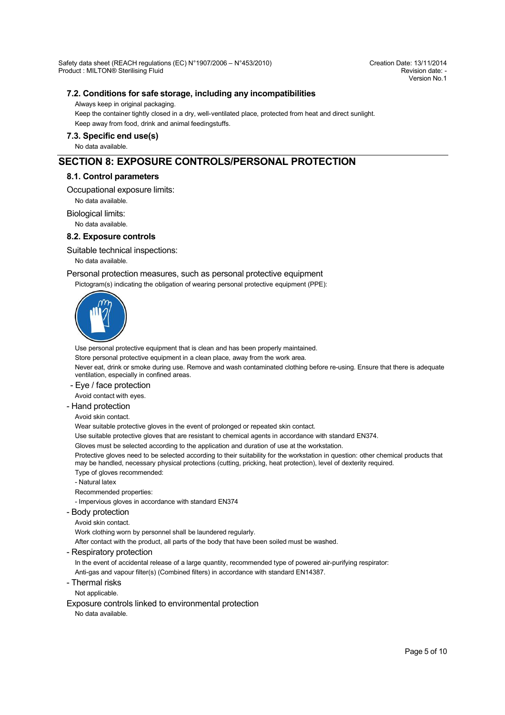Version No.1

# **7.2. Conditions for safe storage, including any incompatibilities**

Always keep in original packaging.

Keep the container tightly closed in a dry, well-ventilated place, protected from heat and direct sunlight. Keep away from food, drink and animal feedingstuffs.

### **7.3. Specific end use(s)**

No data available.

# **SECTION 8: EXPOSURE CONTROLS/PERSONAL PROTECTION**

### **8.1. Control parameters**

Occupational exposure limits:

No data available.

Biological limits:

No data available.

### **8.2. Exposure controls**

Suitable technical inspections:

No data available.

### Personal protection measures, such as personal protective equipment

Pictogram(s) indicating the obligation of wearing personal protective equipment (PPE):



Use personal protective equipment that is clean and has been properly maintained.

Store personal protective equipment in a clean place, away from the work area.

Never eat, drink or smoke during use. Remove and wash contaminated clothing before re-using. Ensure that there is adequate ventilation, especially in confined areas.

- Eye / face protection

Avoid contact with eyes.

### - Hand protection

Avoid skin contact.

Wear suitable protective gloves in the event of prolonged or repeated skin contact.

Use suitable protective gloves that are resistant to chemical agents in accordance with standard EN374.

Gloves must be selected according to the application and duration of use at the workstation.

Protective gloves need to be selected according to their suitability for the workstation in question: other chemical products that may be handled, necessary physical protections (cutting, pricking, heat protection), level of dexterity required.

Type of gloves recommended:

- Natural latex

Recommended properties:

- Impervious gloves in accordance with standard EN374

- Body protection

Avoid skin contact.

Work clothing worn by personnel shall be laundered regularly.

After contact with the product, all parts of the body that have been soiled must be washed.

- Respiratory protection

In the event of accidental release of a large quantity, recommended type of powered air-purifying respirator:

Anti-gas and vapour filter(s) (Combined filters) in accordance with standard EN14387.

- Thermal risks

Not applicable.

Exposure controls linked to environmental protection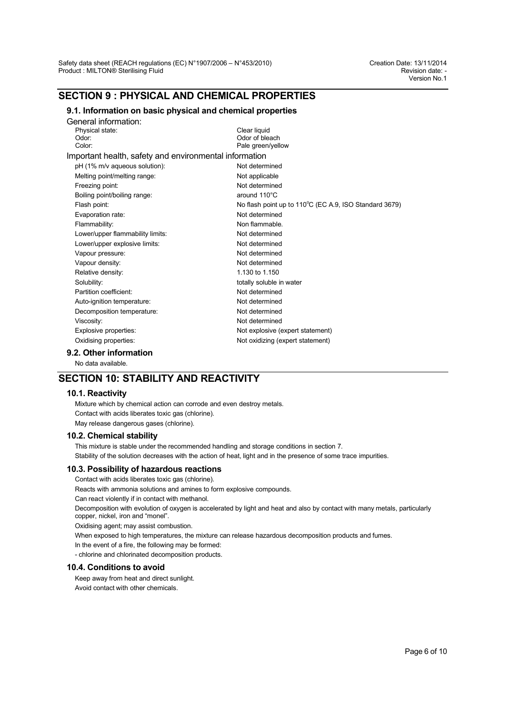# **SECTION 9 : PHYSICAL AND CHEMICAL PROPERTIES**

# **9.1. Information on basic physical and chemical properties**

| General information:                                   |                                                        |
|--------------------------------------------------------|--------------------------------------------------------|
| Physical state:                                        | Clear liquid                                           |
| Odor <sup>-</sup>                                      | Odor of bleach                                         |
| Color:                                                 | Pale green/yellow                                      |
| Important health, safety and environmental information |                                                        |
| pH (1% m/v aqueous solution):                          | Not determined                                         |
| Melting point/melting range:                           | Not applicable                                         |
| Freezing point:                                        | Not determined                                         |
| Boiling point/boiling range:                           | around 110°C                                           |
| Flash point:                                           | No flash point up to 110°C (EC A.9, ISO Standard 3679) |
| Evaporation rate:                                      | Not determined                                         |
| Flammability:                                          | Non flammable.                                         |
| Lower/upper flammability limits:                       | Not determined                                         |
| Lower/upper explosive limits:                          | Not determined                                         |
| Vapour pressure:                                       | Not determined                                         |
| Vapour density:                                        | Not determined                                         |
| Relative density:                                      | 1.130 to 1.150                                         |
| Solubility:                                            | totally soluble in water                               |
| Partition coefficient:                                 | Not determined                                         |
| Auto-ignition temperature:                             | Not determined                                         |
| Decomposition temperature:                             | Not determined                                         |
| Viscosity:                                             | Not determined                                         |
| Explosive properties:                                  | Not explosive (expert statement)                       |
| Oxidising properties:                                  | Not oxidizing (expert statement)                       |
|                                                        |                                                        |

**9.2. Other information**

No data available.

# **SECTION 10: STABILITY AND REACTIVITY**

### **10.1. Reactivity**

Mixture which by chemical action can corrode and even destroy metals. Contact with acids liberates toxic gas (chlorine). May release dangerous gases (chlorine).

### **10.2. Chemical stability**

This mixture is stable under the recommended handling and storage conditions in section 7. Stability of the solution decreases with the action of heat, light and in the presence of some trace impurities.

### **10.3. Possibility of hazardous reactions**

Contact with acids liberates toxic gas (chlorine).

Reacts with ammonia solutions and amines to form explosive compounds.

Can react violently if in contact with methanol.

Decomposition with evolution of oxygen is accelerated by light and heat and also by contact with many metals, particularly copper, nickel, iron and "monel".

Oxidising agent; may assist combustion.

When exposed to high temperatures, the mixture can release hazardous decomposition products and fumes.

In the event of a fire, the following may be formed:

- chlorine and chlorinated decomposition products.

### **10.4. Conditions to avoid**

Keep away from heat and direct sunlight. Avoid contact with other chemicals.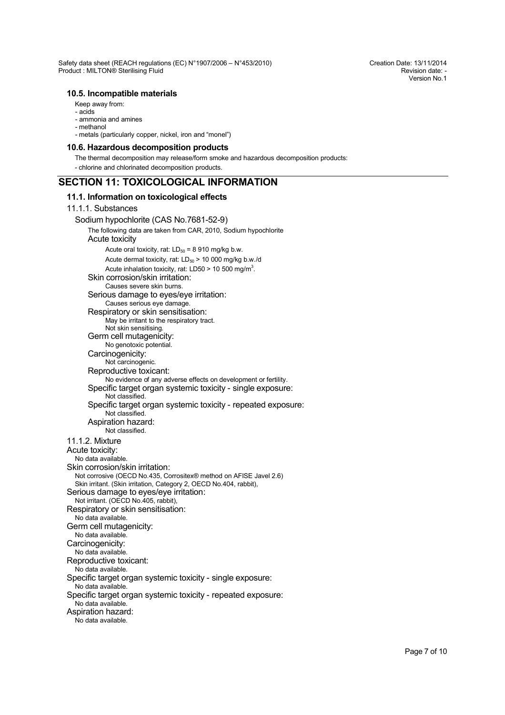### **10.5. Incompatible materials**

- Keep away from:
- acids
- ammonia and amines
- methanol
- metals (particularly copper, nickel, iron and "monel")

#### **10.6. Hazardous decomposition products**

The thermal decomposition may release/form smoke and hazardous decomposition products:

- chlorine and chlorinated decomposition products.

# **SECTION 11: TOXICOLOGICAL INFORMATION**

### **11.1. Information on toxicological effects**

# 11.1.1. Substances

Sodium hypochlorite (CAS No.7681-52-9) The following data are taken from CAR, 2010, Sodium hypochlorite Acute toxicity Acute oral toxicity, rat:  $LD_{50} = 8910$  mg/kg b.w. Acute dermal toxicity, rat:  $LD_{50}$  > 10 000 mg/kg b.w./d Acute inhalation toxicity, rat: LD50 > 10 500 mg/m<sup>3</sup>. Skin corrosion/skin irritation: Causes severe skin burns. Serious damage to eyes/eye irritation: Causes serious eye damage. Respiratory or skin sensitisation: May be irritant to the respiratory tract. Not skin sensitising. Germ cell mutagenicity: No genotoxic potential. Carcinogenicity: Not carcinogenic. Reproductive toxicant: No evidence of any adverse effects on development or fertility. Specific target organ systemic toxicity - single exposure: Not classified. Specific target organ systemic toxicity - repeated exposure: Not classified. Aspiration hazard: Not classified. 11.1.2. Mixture Acute toxicity: No data available. Skin corrosion/skin irritation: Not corrosive (OECD No.435, Corrositex® method on AFISE Javel 2.6) Skin irritant. (Skin irritation, Category 2, OECD No.404, rabbit), Serious damage to eyes/eye irritation: Not irritant. (OECD No.405, rabbit), Respiratory or skin sensitisation: No data available. Germ cell mutagenicity: No data available. Carcinogenicity: No data available. Reproductive toxicant: No data available. Specific target organ systemic toxicity - single exposure: No data available. Specific target organ systemic toxicity - repeated exposure: No data available. Aspiration hazard: No data available.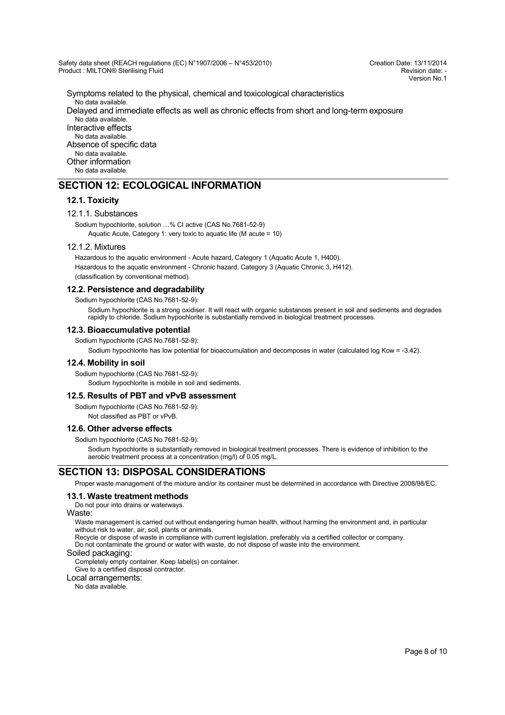Version No.1

Symptoms related to the physical, chemical and toxicological characteristics No data available. Delayed and immediate effects as well as chronic effects from short and long-term exposure No data available. Interactive effects No data available. Absence of specific data No data available.

Other information No data available.

# **SECTION 12: ECOLOGICAL INFORMATION**

# **12.1. Toxicity**

#### 12.1.1. Substances

Sodium hypochlorite, solution …% Cl active (CAS No.7681-52-9) Aquatic Acute, Category 1: very toxic to aquatic life (M acute = 10)

#### 12.1.2. Mixtures

Hazardous to the aquatic environment - Acute hazard, Category 1 (Aquatic Acute 1, H400). Hazardous to the aquatic environment - Chronic hazard, Category 3 (Aquatic Chronic 3, H412).

(classification by conventional method).

### **12.2. Persistence and degradability**

Sodium hypochlorite (CAS No.7681-52-9):

Sodium hypochlorite is a strong oxidiser. It will react with organic substances present in soil and sediments and degrades rapidly to chloride. Sodium hypochlorite is substantially removed in biological treatment processes.

#### **12.3. Bioaccumulative potential**

Sodium hypochlorite (CAS No.7681-52-9):

Sodium hypochlorite has low potential for bioaccumulation and decomposes in water (calculated log Kow = -3.42).

#### **12.4. Mobility in soil**

Sodium hypochlorite (CAS No.7681-52-9):

Sodium hypochlorite is mobile in soil and sediments.

#### **12.5. Results of PBT and vPvB assessment**

Sodium hypochlorite (CAS No.7681-52-9):

# Not classified as PBT or vPvB.

### **12.6. Other adverse effects**

Sodium hypochlorite (CAS No.7681-52-9):

Sodium hypochlorite is substantially removed in biological treatment processes. There is evidence of inhibition to the aerobic treatment process at a concentration (mg/l) of 0.05 mg/L.

# **SECTION 13: DISPOSAL CONSIDERATIONS**

Proper waste management of the mixture and/or its container must be determined in accordance with Directive 2008/98/EC.

### **13.1. Waste treatment methods**

Do not pour into drains or waterways.

### Waste:

Waste management is carried out without endangering human health, without harming the environment and, in particular without risk to water, air, soil, plants or animals.

Recycle or dispose of waste in compliance with current legislation, preferably via a certified collector or company. Do not contaminate the ground or water with waste, do not dispose of waste into the environment.

### Soiled packaging:

Completely empty container. Keep label(s) on container.

Give to a certified disposal contractor.

Local arrangements: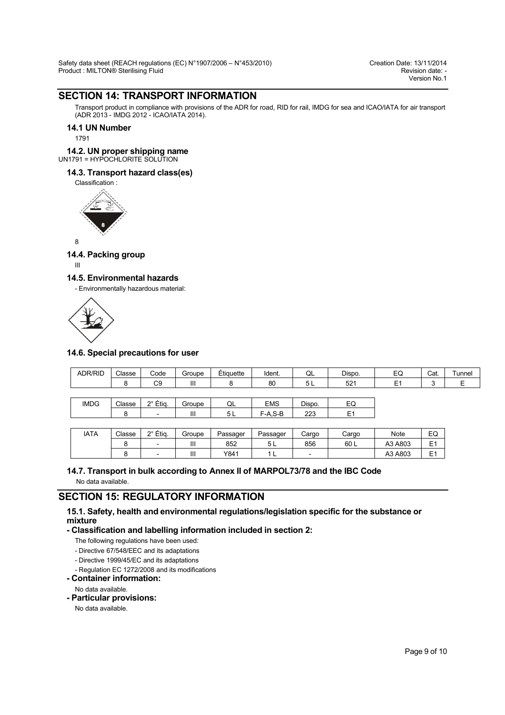# **SECTION 14: TRANSPORT INFORMATION**

Transport product in compliance with provisions of the ADR for road, RID for rail, IMDG for sea and ICAO/IATA for air transport (ADR 2013 - IMDG 2012 - ICAO/IATA 2014).

### **14.1 UN Number**

1791

# **14.2. UN proper shipping name**

# UN1791 = HYPOCHLORITE SOLUTION

# **14.3. Transport hazard class(es)**

Classification :



8

# **14.4. Packing group**

III

### **14.5. Environmental hazards**

- Environmentally hazardous material:



### **14.6. Special precautions for user**

| ADR/RID     | Classe | Code                     | Groupe | Étiquette | Ident.     | QL     | Dispo.         | EQ             | Cat.   | Tunnel |
|-------------|--------|--------------------------|--------|-----------|------------|--------|----------------|----------------|--------|--------|
|             | 8      | C <sub>9</sub>           | Ш      |           | 80         | 5 L    | 521            | E <sub>1</sub> | ◠<br>J | Е      |
|             |        |                          |        |           |            |        |                |                |        |        |
| <b>IMDG</b> | Classe | 2° Étig.                 | Groupe | QL        | <b>EMS</b> | Dispo. | EQ             |                |        |        |
|             | 8      | $\overline{\phantom{0}}$ | Ш      | 5 L       | $F-A.S-B$  | 223    | E <sub>1</sub> |                |        |        |
|             |        |                          |        |           |            |        |                |                |        |        |
| <b>IATA</b> | Classe | 2° Étig.                 | Groupe | Passager  | Passager   | Cargo  | Cargo          | Note           | EQ     |        |

8 | - | III | 852 | 5L | 856 | 60L | A3 A803 |E1

# 8 | - | III | Y841 | 1L | - | | A3 A803 | E1 **14.7. Transport in bulk according to Annex II of MARPOL73/78 and the IBC Code**

No data available.

# **SECTION 15: REGULATORY INFORMATION**

# **15.1. Safety, health and environmental regulations/legislation specific for the substance or mixture**

**- Classification and labelling information included in section 2:**

The following regulations have been used:

- Directive 67/548/EEC and its adaptations

- Directive 1999/45/EC and its adaptations

- Regulation EC 1272/2008 and its modifications

**- Container information:**

No data available.

**- Particular provisions:**